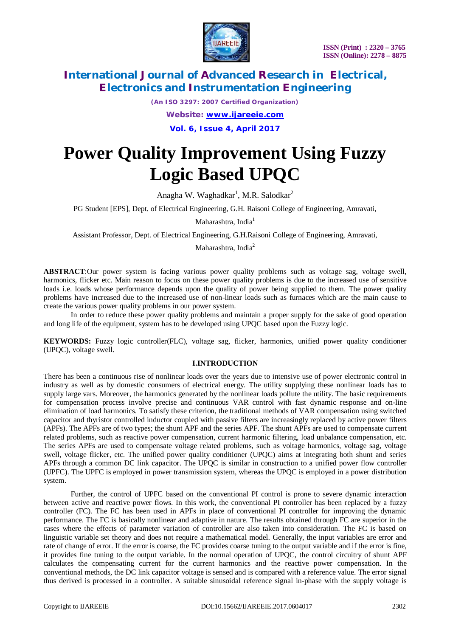

*(An ISO 3297: 2007 Certified Organization)*

*Website: [www.ijareeie.com](http://www.ijareeie.com)*

**Vol. 6, Issue 4, April 2017**

# **Power Quality Improvement Using Fuzzy Logic Based UPQC**

Anagha W. Waghadkar<sup>1</sup>, M.R. Salodkar<sup>2</sup>

PG Student [EPS], Dept. of Electrical Engineering, G.H. Raisoni College of Engineering, Amravati,

Maharashtra, India<sup>1</sup>

Assistant Professor, Dept. of Electrical Engineering, G.H.Raisoni College of Engineering, Amravati,

Maharashtra, India<sup>2</sup>

**ABSTRACT**:Our power system is facing various power quality problems such as voltage sag, voltage swell, harmonics, flicker etc. Main reason to focus on these power quality problems is due to the increased use of sensitive loads i.e. loads whose performance depends upon the quality of power being supplied to them. The power quality problems have increased due to the increased use of non-linear loads such as furnaces which are the main cause to create the various power quality problems in our power system.

In order to reduce these power quality problems and maintain a proper supply for the sake of good operation and long life of the equipment, system has to be developed using UPQC based upon the Fuzzy logic.

**KEYWORDS:** Fuzzy logic controller(FLC), voltage sag, flicker, harmonics, unified power quality conditioner (UPQC), voltage swell.

#### **I.INTRODUCTION**

There has been a continuous rise of nonlinear loads over the years due to intensive use of power electronic control in industry as well as by domestic consumers of electrical energy. The utility supplying these nonlinear loads has to supply large vars. Moreover, the harmonics generated by the nonlinear loads pollute the utility. The basic requirements for compensation process involve precise and continuous VAR control with fast dynamic response and on-line elimination of load harmonics. To satisfy these criterion, the traditional methods of VAR compensation using switched capacitor and thyristor controlled inductor coupled with passive filters are increasingly replaced by active power filters (APFs). The APFs are of two types; the shunt APF and the series APF. The shunt APFs are used to compensate current related problems, such as reactive power compensation, current harmonic filtering, load unbalance compensation, etc. The series APFs are used to compensate voltage related problems, such as voltage harmonics, voltage sag, voltage swell, voltage flicker, etc. The unified power quality conditioner (UPQC) aims at integrating both shunt and series APFs through a common DC link capacitor. The UPQC is similar in construction to a unified power flow controller (UPFC). The UPFC is employed in power transmission system, whereas the UPQC is employed in a power distribution system.

Further, the control of UPFC based on the conventional PI control is prone to severe dynamic interaction between active and reactive power flows. In this work, the conventional PI controller has been replaced by a fuzzy controller (FC). The FC has been used in APFs in place of conventional PI controller for improving the dynamic performance. The FC is basically nonlinear and adaptive in nature. The results obtained through FC are superior in the cases where the effects of parameter variation of controller are also taken into consideration. The FC is based on linguistic variable set theory and does not require a mathematical model. Generally, the input variables are error and rate of change of error. If the error is coarse, the FC provides coarse tuning to the output variable and if the error is fine, it provides fine tuning to the output variable. In the normal operation of UPQC, the control circuitry of shunt APF calculates the compensating current for the current harmonics and the reactive power compensation. In the conventional methods, the DC link capacitor voltage is sensed and is compared with a reference value. The error signal thus derived is processed in a controller. A suitable sinusoidal reference signal in-phase with the supply voltage is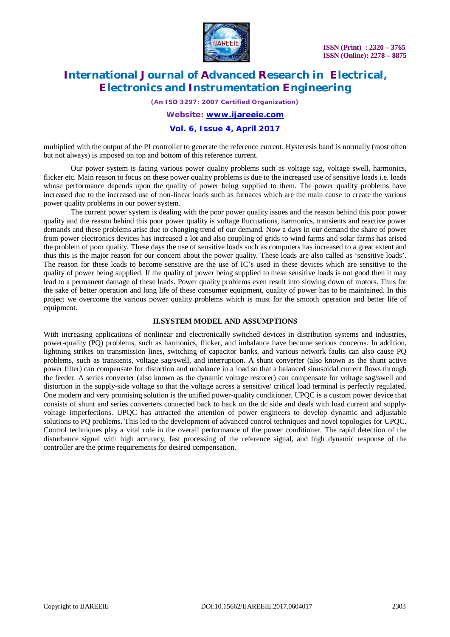

*(An ISO 3297: 2007 Certified Organization)*

*Website: [www.ijareeie.com](http://www.ijareeie.com)*

#### **Vol. 6, Issue 4, April 2017**

multiplied with the output of the PI controller to generate the reference current. Hysteresis band is normally (most often but not always) is imposed on top and bottom of this reference current.

Our power system is facing various power quality problems such as voltage sag, voltage swell, harmonics, flicker etc. Main reason to focus on these power quality problems is due to the increased use of sensitive loads i.e. loads whose performance depends upon the quality of power being supplied to them. The power quality problems have increased due to the increased use of non-linear loads such as furnaces which are the main cause to create the various power quality problems in our power system.

The current power system is dealing with the poor power quality issues and the reason behind this poor power quality and the reason behind this poor power quality is voltage fluctuations, harmonics, transients and reactive power demands and these problems arise due to changing trend of our demand. Now a days in our demand the share of power from power electronics devices has increased a lot and also coupling of grids to wind farms and solar farms has arised the problem of poor quality. These days the use of sensitive loads such as computers has increased to a great extent and thus this is the major reason for our concern about the power quality. These loads are also called as 'sensitive loads'. The reason for these loads to become sensitive are the use of IC's used in these devices which are sensitive to the quality of power being supplied. If the quality of power being supplied to these sensitive loads is not good then it may lead to a permanent damage of these loads. Power quality problems even result into slowing down of motors. Thus for the sake of better operation and long life of these consumer equipment, quality of power has to be maintained. In this project we overcome the various power quality problems which is must for the smooth operation and better life of equipment.

#### **II.SYSTEM MODEL AND ASSUMPTIONS**

With increasing applications of nonlinear and electronically switched devices in distribution systems and industries, power-quality (PQ) problems, such as harmonics, flicker, and imbalance have become serious concerns. In addition, lightning strikes on transmission lines, switching of capacitor banks, and various network faults can also cause PQ problems, such as transients, voltage sag/swell, and interruption. A shunt converter (also known as the shunt active power filter) can compensate for distortion and unbalance in a load so that a balanced sinusoidal current flows through the feeder. A series converter (also known as the dynamic voltage restorer) can compensate for voltage sag/swell and distortion in the supply-side voltage so that the voltage across a sensitive/ critical load terminal is perfectly regulated. One modern and very promising solution is the unified power-quality conditioner. UPQC is a custom power device that consists of shunt and series converters connected back to back on the dc side and deals with load current and supplyvoltage imperfections. UPQC has attracted the attention of power engineers to develop dynamic and adjustable solutions to PQ problems. This led to the development of advanced control techniques and novel topologies for UPQC. Control techniques play a vital role in the overall performance of the power conditioner. The rapid detection of the disturbance signal with high accuracy, fast processing of the reference signal, and high dynamic response of the controller are the prime requirements for desired compensation.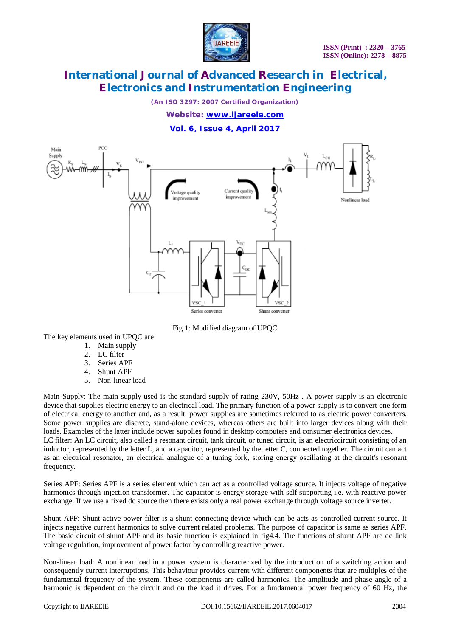

*(An ISO 3297: 2007 Certified Organization)*

*Website: [www.ijareeie.com](http://www.ijareeie.com)*

**Vol. 6, Issue 4, April 2017**



Fig 1: Modified diagram of UPQC

The key elements used in UPQC are

- 1. Main supply
- 2. LC filter
- 3. Series APF
- 4. Shunt APF
- 5. Non-linear load

Main Supply: The main supply used is the standard supply of rating 230V, 50Hz . A power supply is an electronic device that supplies electric energy to an electrical load. The primary function of a power supply is to convert one form of electrical energy to another and, as a result, power supplies are sometimes referred to as electric power converters. Some power supplies are discrete, stand-alone devices, whereas others are built into larger devices along with their loads. Examples of the latter include power supplies found in desktop computers and consumer electronics devices. LC filter: An LC circuit, also called a resonant circuit, tank circuit, or tuned circuit, is an electriccircuit consisting of an inductor, represented by the letter L, and a capacitor, represented by the letter C, connected together. The circuit can act as an electrical resonator, an electrical analogue of a tuning fork, storing energy oscillating at the circuit's resonant

Series APF: Series APF is a series element which can act as a controlled voltage source. It injects voltage of negative harmonics through injection transformer. The capacitor is energy storage with self supporting i.e. with reactive power exchange. If we use a fixed dc source then there exists only a real power exchange through voltage source inverter.

Shunt APF: Shunt active power filter is a shunt connecting device which can be acts as controlled current source. It injects negative current harmonics to solve current related problems. The purpose of capacitor is same as series APF. The basic circuit of shunt APF and its basic function is explained in fig4.4. The functions of shunt APF are dc link voltage regulation, improvement of power factor by controlling reactive power.

Non-linear load: A nonlinear load in a power system is characterized by the introduction of a switching action and consequently current interruptions. This behaviour provides current with different components that are multiples of the fundamental frequency of the system. These components are called harmonics. The amplitude and phase angle of a harmonic is dependent on the circuit and on the load it drives. For a fundamental power frequency of 60 Hz, the

frequency.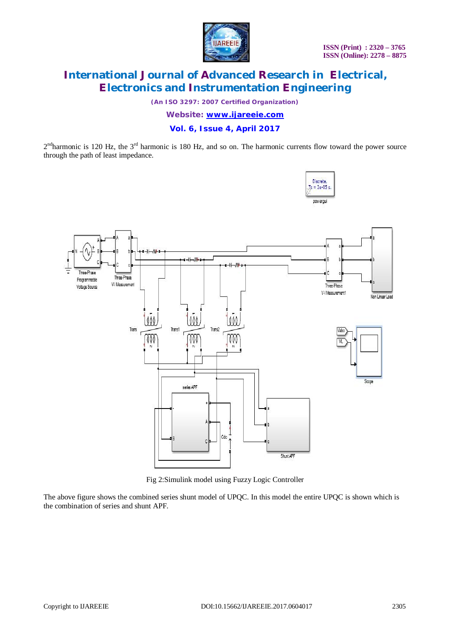

*(An ISO 3297: 2007 Certified Organization)*

*Website: [www.ijareeie.com](http://www.ijareeie.com)*

#### **Vol. 6, Issue 4, April 2017**

 $2^{nd}$ harmonic is 120 Hz, the  $3^{rd}$  harmonic is 180 Hz, and so on. The harmonic currents flow toward the power source through the path of least impedance.



Fig 2:Simulink model using Fuzzy Logic Controller

The above figure shows the combined series shunt model of UPQC. In this model the entire UPQC is shown which is the combination of series and shunt APF.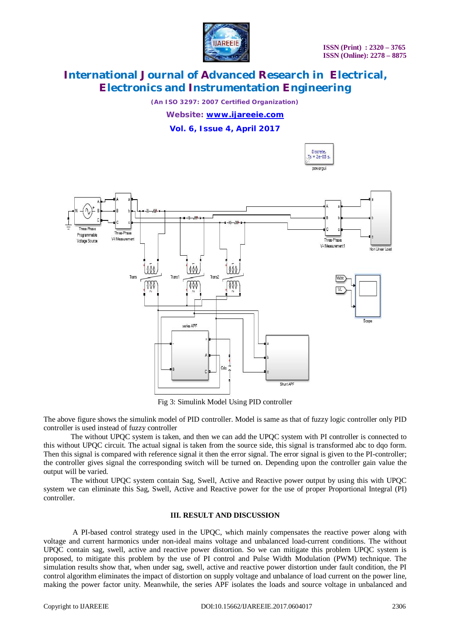

*(An ISO 3297: 2007 Certified Organization)*

*Website: [www.ijareeie.com](http://www.ijareeie.com)*

**Vol. 6, Issue 4, April 2017**



Fig 3: Simulink Model Using PID controller

The above figure shows the simulink model of PID controller. Model is same as that of fuzzy logic controller only PID controller is used instead of fuzzy controller

The without UPQC system is taken, and then we can add the UPQC system with PI controller is connected to this without UPQC circuit. The actual signal is taken from the source side, this signal is transformed abc to dqo form. Then this signal is compared with reference signal it then the error signal. The error signal is given to the PI-controller; the controller gives signal the corresponding switch will be turned on. Depending upon the controller gain value the output will be varied.

The without UPQC system contain Sag, Swell, Active and Reactive power output by using this with UPQC system we can eliminate this Sag, Swell, Active and Reactive power for the use of proper Proportional Integral (PI) controller.

#### **III. RESULT AND DISCUSSION**

A PI-based control strategy used in the UPQC, which mainly compensates the reactive power along with voltage and current harmonics under non-ideal mains voltage and unbalanced load-current conditions. The without UPQC contain sag, swell, active and reactive power distortion. So we can mitigate this problem UPQC system is proposed, to mitigate this problem by the use of PI control and Pulse Width Modulation (PWM) technique. The simulation results show that, when under sag, swell, active and reactive power distortion under fault condition, the PI control algorithm eliminates the impact of distortion on supply voltage and unbalance of load current on the power line, making the power factor unity. Meanwhile, the series APF isolates the loads and source voltage in unbalanced and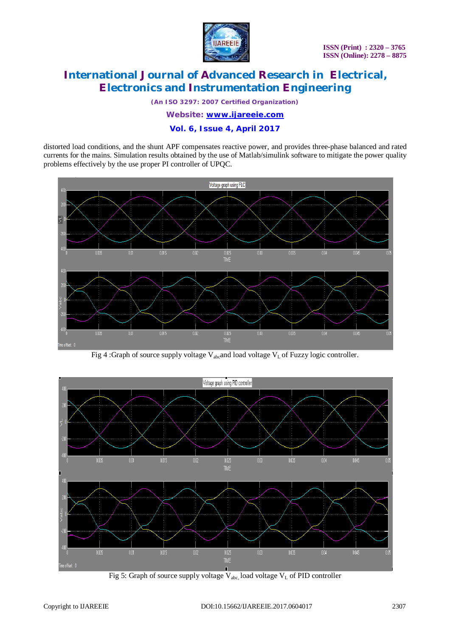

*(An ISO 3297: 2007 Certified Organization)*

*Website: [www.ijareeie.com](http://www.ijareeie.com)*

### **Vol. 6, Issue 4, April 2017**

distorted load conditions, and the shunt APF compensates reactive power, and provides three-phase balanced and rated currents for the mains. Simulation results obtained by the use of Matlab/simulink software to mitigate the power quality problems effectively by the use proper PI controller of UPQC.



Fig 4 :Graph of source supply voltage  $V_{abc}$  and load voltage  $V_L$  of Fuzzy logic controller.



Fig 5: Graph of source supply voltage  $V_{abc}$  load voltage  $V_L$  of PID controller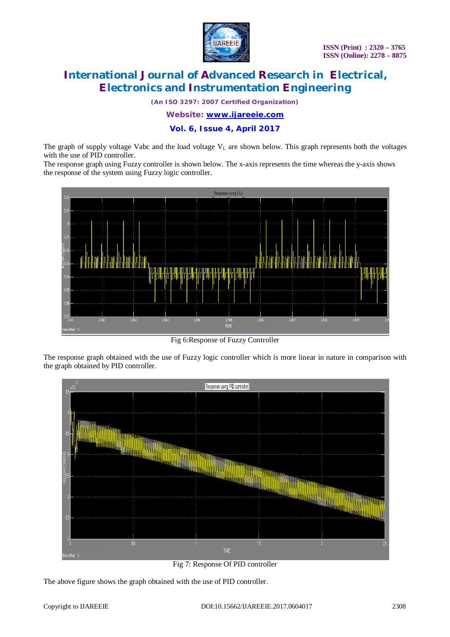

*(An ISO 3297: 2007 Certified Organization)*

*Website: [www.ijareeie.com](http://www.ijareeie.com)*

**Vol. 6, Issue 4, April 2017**

The graph of supply voltage Vabc and the load voltage  $V<sub>L</sub>$  are shown below. This graph represents both the voltages with the use of PID controller.

The response graph using Fuzzy controller is shown below. The x-axis represents the time whereas the y-axis shows the response of the system using Fuzzy logic controller.



Fig 6:Response of Fuzzy Controller

The response graph obtained with the use of Fuzzy logic controller which is more linear in nature in comparison with the graph obtained by PID controller.



Fig 7: Response Of PID controller

The above figure shows the graph obtained with the use of PID controller.